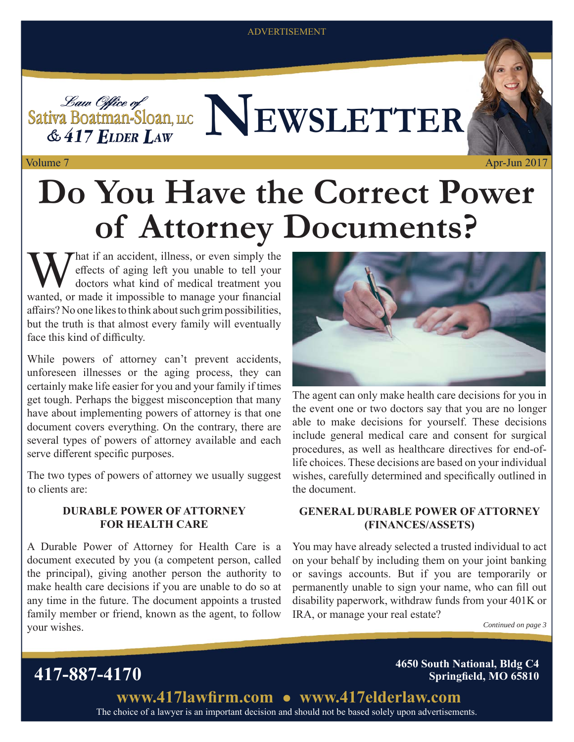#### ADVERTISEMENT



# **Do You Have the Correct Power of Attorney Documents?**

What if an accident, illness, or even simply the<br>effects of aging left you unable to tell your<br>doctors what kind of medical treatment you eff ects of aging left you unable to tell your doctors what kind of medical treatment you wanted, or made it impossible to manage your financial affairs? No one likes to think about such grim possibilities, but the truth is that almost every family will eventually face this kind of difficulty.

While powers of attorney can't prevent accidents, unforeseen illnesses or the aging process, they can certainly make life easier for you and your family if times get tough. Perhaps the biggest misconception that many have about implementing powers of attorney is that one document covers everything. On the contrary, there are several types of powers of attorney available and each serve different specific purposes.

The two types of powers of attorney we usually suggest to clients are:

#### **DURABLE POWER OF ATTORNEY FOR HEALTH CARE**

A Durable Power of Attorney for Health Care is a document executed by you (a competent person, called the principal), giving another person the authority to make health care decisions if you are unable to do so at any time in the future. The document appoints a trusted family member or friend, known as the agent, to follow your wishes.



The agent can only make health care decisions for you in the event one or two doctors say that you are no longer able to make decisions for yourself. These decisions include general medical care and consent for surgical procedures, as well as healthcare directives for end-oflife choices. These decisions are based on your individual wishes, carefully determined and specifically outlined in the document.

### **GENERAL DURABLE POWER OF ATTORNEY (FINANCES/ASSETS)**

You may have already selected a trusted individual to act on your behalf by including them on your joint banking or savings accounts. But if you are temporarily or permanently unable to sign your name, who can fill out disability paperwork, withdraw funds from your 401K or IRA, or manage your real estate?

*Continued on page 3*

Apr-Jun 2017

**417-887-4170 4650 South National, Bldg C4 Springfield, MO 65810** 

> The choice of a lawyer is an important decision and should not be based solely upon advertisements. www.417lawfirm.com • www.417elderlaw.com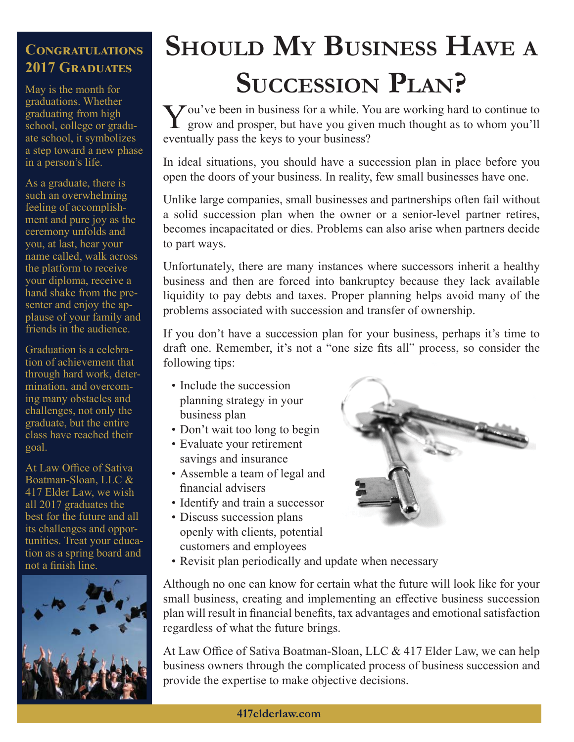### CONGRATULATIONS **2017 GRADUATES**

May is the month for graduations. Whether graduating from high school, college or graduate school, it symbolizes a step toward a new phase in a person's life.

As a graduate, there is such an overwhelming feeling of accomplishment and pure joy as the ceremony unfolds and you, at last, hear your name called, walk across the platform to receive your diploma, receive a hand shake from the presenter and enjoy the applause of your family and friends in the audience.

Graduation is a celebration of achievement that through hard work, determination, and overcoming many obstacles and challenges, not only the graduate, but the entire class have reached their goal.

At Law Office of Sativa Boatman-Sloan, LLC & 417 Elder Law, we wish all 2017 graduates the best for the future and all its challenges and opportunities. Treat your education as a spring board and not a finish line.



## **SHOULD MY BUSINESS HAVE <sup>A</sup> SUCCESSION PLAN?**

You've been in business for a while. You are working hard to continue to grow and prosper, but have you given much thought as to whom you'll eventually pass the keys to your business?

In ideal situations, you should have a succession plan in place before you open the doors of your business. In reality, few small businesses have one.

Unlike large companies, small businesses and partnerships often fail without a solid succession plan when the owner or a senior-level partner retires, becomes incapacitated or dies. Problems can also arise when partners decide to part ways.

Unfortunately, there are many instances where successors inherit a healthy business and then are forced into bankruptcy because they lack available liquidity to pay debts and taxes. Proper planning helps avoid many of the problems associated with succession and transfer of ownership.

If you don't have a succession plan for your business, perhaps it's time to draft one. Remember, it's not a "one size fits all" process, so consider the following tips:

- Include the succession planning strategy in your business plan
- Don't wait too long to begin
- Evaluate your retirement
- savings and insurance • Assemble a team of legal and
- financial advisers
- Identify and train a successor
- Discuss succession plans openly with clients, potential customers and employees



• Revisit plan periodically and update when necessary

Although no one can know for certain what the future will look like for your small business, creating and implementing an effective business succession plan will result in financial benefits, tax advantages and emotional satisfaction regardless of what the future brings.

At Law Office of Sativa Boatman-Sloan, LLC & 417 Elder Law, we can help business owners through the complicated process of business succession and provide the expertise to make objective decisions.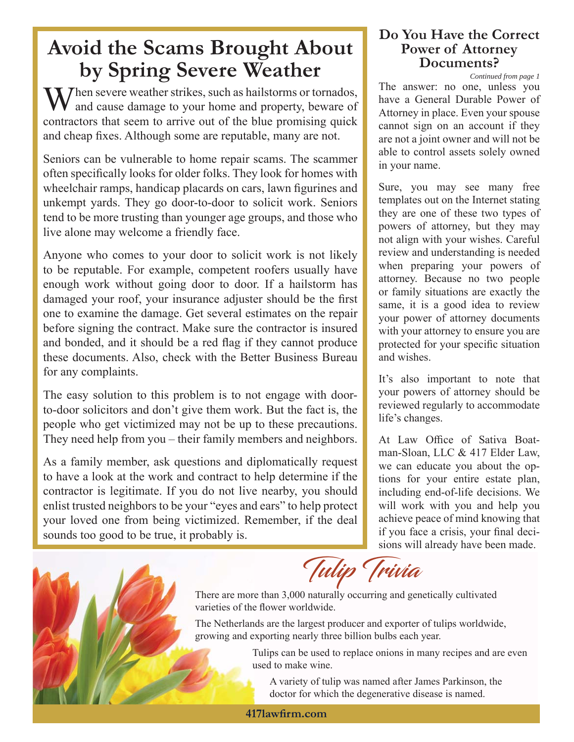## **Avoid the Scams Brought About by Spring Severe Weather Documents!**<br>
The answer: no one, unless you

 $\sum$  hen severe weather strikes, such as hailstorms or tornados, and cause damage to your home and property, beware of contractors that seem to arrive out of the blue promising quick and cheap fixes. Although some are reputable, many are not.

Seniors can be vulnerable to home repair scams. The scammer often specifically looks for older folks. They look for homes with wheelchair ramps, handicap placards on cars, lawn figurines and unkempt yards. They go door-to-door to solicit work. Seniors tend to be more trusting than younger age groups, and those who live alone may welcome a friendly face.

Anyone who comes to your door to solicit work is not likely to be reputable. For example, competent roofers usually have enough work without going door to door. If a hailstorm has damaged your roof, your insurance adjuster should be the first one to examine the damage. Get several estimates on the repair before signing the contract. Make sure the contractor is insured and bonded, and it should be a red flag if they cannot produce these documents. Also, check with the Better Business Bureau for any complaints.

The easy solution to this problem is to not engage with doorto-door solicitors and don't give them work. But the fact is, the people who get victimized may not be up to these precautions. They need help from you – their family members and neighbors.

As a family member, ask questions and diplomatically request to have a look at the work and contract to help determine if the contractor is legitimate. If you do not live nearby, you should enlist trusted neighbors to be your "eyes and ears" to help protect your loved one from being victimized. Remember, if the deal sounds too good to be true, it probably is.

### **Do You Have the Correct Power of Attorney Documents?**

have a General Durable Power of Attorney in place. Even your spouse cannot sign on an account if they are not a joint owner and will not be able to control assets solely owned in your name. *Continued from page 1*

Sure, you may see many free templates out on the Internet stating they are one of these two types of powers of attorney, but they may not align with your wishes. Careful review and understanding is needed when preparing your powers of attorney. Because no two people or family situations are exactly the same, it is a good idea to review your power of attorney documents with your attorney to ensure you are protected for your specific situation and wishes.

It's also important to note that your powers of attorney should be reviewed regularly to accommodate life's changes.

At Law Office of Sativa Boatman-Sloan, LLC & 417 Elder Law, we can educate you about the options for your entire estate plan, including end-of-life decisions. We will work with you and help you achieve peace of mind knowing that if you face a crisis, your final decisions will already have been made.

Tulip Trivia

There are more than 3,000 naturally occurring and genetically cultivated varieties of the flower worldwide.

The Netherlands are the largest producer and exporter of tulips worldwide, growing and exporting nearly three billion bulbs each year.

> Tulips can be used to replace onions in many recipes and are even used to make wine.

A variety of tulip was named after James Parkinson, the doctor for which the degenerative disease is named.

**417lawfi rm.com**